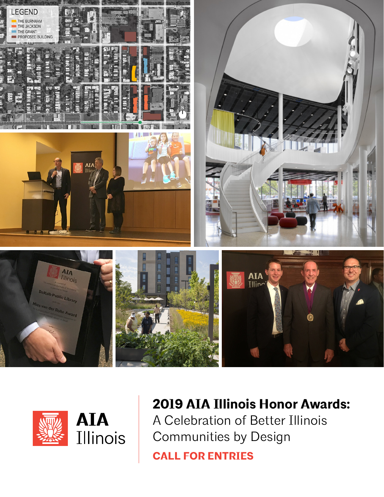



### **2019 AIA Illinois Honor Awards:** A Celebration of Better Illinois Communities by Design

**CALL FOR ENTRIES**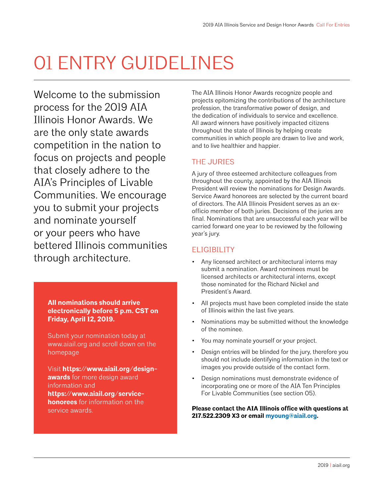# 01 ENTRY GUIDELINES

Welcome to the submission process for the 2019 AIA Illinois Honor Awards. We are the only state awards competition in the nation to focus on projects and people that closely adhere to the AIA's Principles of Livable Communities. We encourage you to submit your projects and nominate yourself or your peers who have bettered Illinois communities through architecture.

> **All nominations should arrive electronically before 5 p.m. CST on Friday, April 12, 2019.**

Submit your nomination today at www.aiail.org and scroll down on the homepage

Visit **[https://www.aiail.org/design](https://www.aiail.org/design-awards)[awards](https://www.aiail.org/design-awards)** for more design award information and **[https://www.aiail.org/service](https://www.aiail.org/service-honorees)[honorees](https://www.aiail.org/service-honorees)** for information on the service awards.

The AIA Illinois Honor Awards recognize people and projects epitomizing the contributions of the architecture profession, the transformative power of design, and the dedication of individuals to service and excellence. All award winners have positively impacted citizens throughout the state of Illinois by helping create communities in which people are drawn to live and work, and to live healthier and happier.

### THE JURIES

A jury of three esteemed architecture colleagues from throughout the county, appointed by the AIA Illinois President will review the nominations for Design Awards. Service Award honorees are selected by the current board of directors. The AIA Illinois President serves as an exofficio member of both juries. Decisions of the juries are final. Nominations that are unsuccessful each year will be carried forward one year to be reviewed by the following year's jury.

### **FLIGIBILITY**

- Any licensed architect or architectural interns may submit a nomination. Award nominees must be licensed architects or architectural interns, except those nominated for the Richard Nickel and President's Award.
- All projects must have been completed inside the state of Illinois within the last five years.
- Nominations may be submitted without the knowledge of the nominee.
- You may nominate yourself or your project.
- Design entries will be blinded for the jury, therefore you should not include identifying information in the text or images you provide outside of the contact form.
- Design nominations must demonstrate evidence of incorporating one or more of the AIA Ten Principles For Livable Communities (see section 05).

**Please contact the AIA Illinois office with questions at 217.522.2309 X3 or email [myoung@aiail.org](mailto:myoung%40aiail.org?subject=).**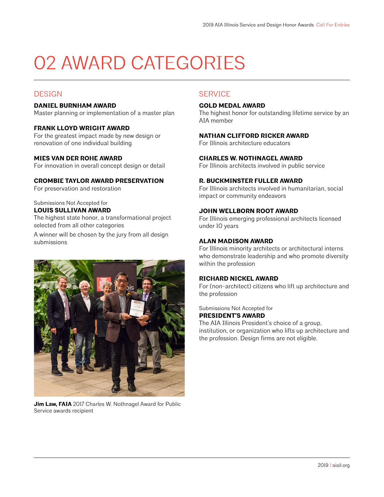# 02 AWARD CATEGORIES

### **DESIGN**

### **DANIEL BURNHAM AWARD**

Master planning or implementation of a master plan

### **FRANK LLOYD WRIGHT AWARD**

For the greatest impact made by new design or renovation of one individual building

### **MIES VAN DER ROHE AWARD**

For innovation in overall concept design or detail

### **CROMBIE TAYLOR AWARD PRESERVATION**

For preservation and restoration

#### Submissions Not Accepted for **LOUIS SULLIVAN AWARD**

The highest state honor, a transformational project selected from all other categories

A winner will be chosen by the jury from all design submissions



**Jim Law, FAIA** 2017 Charles W. Nothnagel Award for Public Service awards recipient

### **SERVICE**

### **GOLD MEDAL AWARD**

The highest honor for outstanding lifetime service by an AIA member

### **NATHAN CLIFFORD RICKER AWARD**

For Illinois architecture educators

### **CHARLES W. NOTHNAGEL AWARD**

For Illinois architects involved in public service

### **R. BUCKMINSTER FULLER AWARD**

For Illinois architects involved in humanitarian, social impact or community endeavors

### **JOHN WELLBORN ROOT AWARD**

For Illinois emerging professional architects licensed under 10 years

### **ALAN MADISON AWARD**

For Illinois minority architects or architectural interns who demonstrate leadership and who promote diversity within the profession

### **RICHARD NICKEL AWARD**

For (non-architect) citizens who lift up architecture and the profession

Submissions Not Accepted for

### **PRESIDENT'S AWARD**

The AIA Illinois President's choice of a group, institution, or organization who lifts up architecture and the profession. Design firms are not eligible.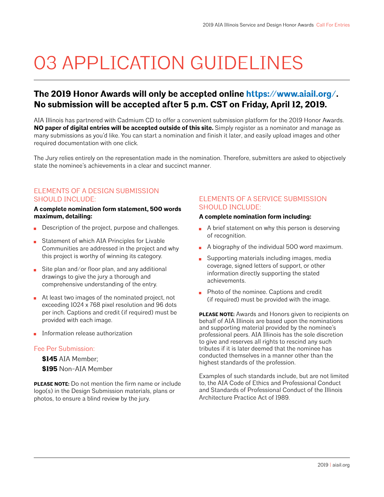## 03 APPLICATION GUIDELINES

### **The 2019 Honor Awards will only be accepted online <https://www.aiail.org/>. No submission will be accepted after 5 p.m. CST on Friday, April 12, 2019.**

AIA Illinois has partnered with Cadmium CD to offer a convenient submission platform for the 2019 Honor Awards. **NO paper of digital entries will be accepted outside of this site.** Simply register as a nominator and manage as many submissions as you'd like. You can start a nomination and finish it later, and easily upload images and other required documentation with one click.

The Jury relies entirely on the representation made in the nomination. Therefore, submitters are asked to objectively state the nominee's achievements in a clear and succinct manner.

### ELEMENTS OF A DESIGN SUBMISSION SHOULD INCLUDE:

### **A complete nomination form statement, 500 words maximum, detailing:**

- Description of the project, purpose and challenges.
- Statement of which AIA Principles for Livable  $\blacksquare$ Communities are addressed in the project and why this project is worthy of winning its category.
- Site plan and/or floor plan, and any additional drawings to give the jury a thorough and comprehensive understanding of the entry.
- At least two images of the nominated project, not exceeding 1024 x 768 pixel resolution and 96 dots per inch. Captions and credit (if required) must be provided with each image.
- Information release authorization

### Fee Per Submission:

**\$145** AIA Member;

**\$195** Non-AIA Member

**PLEASE NOTE:** Do not mention the firm name or include logo(s) in the Design Submission materials, plans or photos, to ensure a blind review by the jury.

### ELEMENTS OF A SERVICE SUBMISSION SHOULD INCLUDE:

### **A complete nomination form including:**

- $\blacksquare$  A brief statement on why this person is deserving of recognition.
- A biography of the individual 500 word maximum.
- Supporting materials including images, media coverage, signed letters of support, or other information directly supporting the stated achievements.
- **Photo of the nominee. Captions and credit** (if required) must be provided with the image.

**PLEASE NOTE:** Awards and Honors given to recipients on behalf of AIA Illinois are based upon the nominations and supporting material provided by the nominee's professional peers. AIA Illinois has the sole discretion to give and reserves all rights to rescind any such tributes if it is later deemed that the nominee has conducted themselves in a manner other than the highest standards of the profession.

Examples of such standards include, but are not limited to, the AIA Code of Ethics and Professional Conduct and Standards of Professional Conduct of the Illinois Architecture Practice Act of 1989.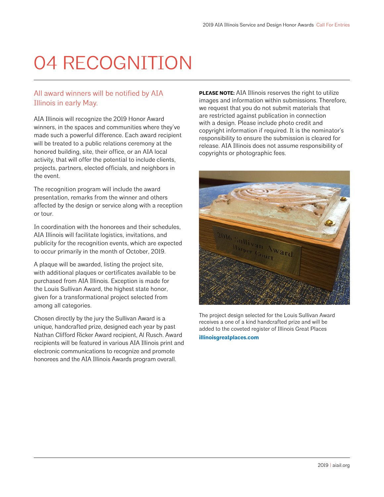# 04 RECOGNITION

### All award winners will be notified by AIA Illinois in early May.

AIA Illinois will recognize the 2019 Honor Award winners, in the spaces and communities where they've made such a powerful difference. Each award recipient will be treated to a public relations ceremony at the honored building, site, their office, or an AIA local activity, that will offer the potential to include clients, projects, partners, elected officials, and neighbors in the event.

The recognition program will include the award presentation, remarks from the winner and others affected by the design or service along with a reception or tour.

In coordination with the honorees and their schedules, AIA Illinois will facilitate logistics, invitations, and publicity for the recognition events, which are expected to occur primarily in the month of October, 2019.

A plaque will be awarded, listing the project site, with additional plaques or certificates available to be purchased from AIA Illinois. Exception is made for the Louis Sullivan Award, the highest state honor, given for a transformational project selected from among all categories.

Chosen directly by the jury the Sullivan Award is a unique, handcrafted prize, designed each year by past Nathan Clifford Ricker Award recipient, Al Rusch. Award recipients will be featured in various AIA Illinois print and electronic communications to recognize and promote honorees and the AIA Illinois Awards program overall.

**PLEASE NOTE:** AIA Illinois reserves the right to utilize images and information within submissions. Therefore, we request that you do not submit materials that are restricted against publication in connection with a design. Please include photo credit and copyright information if required. It is the nominator's responsibility to ensure the submission is cleared for release. AIA Illinois does not assume responsibility of copyrights or photographic fees.



The project design selected for the Louis Sullivan Award receives a one of a kind handcrafted prize and will be added to the coveted register of Illinois Great Places **[illinoisgreatplaces.com](http://illinoisgreatplaces.com)**